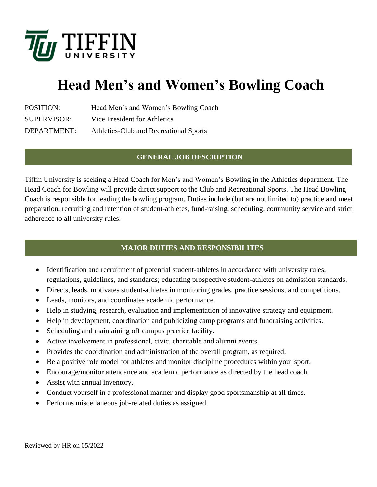

# **Head Men's and Women's Bowling Coach**

| <b>POSITION:</b>   | Head Men's and Women's Bowling Coach   |
|--------------------|----------------------------------------|
| <b>SUPERVISOR:</b> | Vice President for Athletics           |
| DEPARTMENT:        | Athletics-Club and Recreational Sports |

## **GENERAL JOB DESCRIPTION**

Tiffin University is seeking a Head Coach for Men's and Women's Bowling in the Athletics department. The Head Coach for Bowling will provide direct support to the Club and Recreational Sports. The Head Bowling Coach is responsible for leading the bowling program. Duties include (but are not limited to) practice and meet preparation, recruiting and retention of student-athletes, fund-raising, scheduling, community service and strict adherence to all university rules.

## **MAJOR DUTIES AND RESPONSIBILITES**

- Identification and recruitment of potential student-athletes in accordance with university rules, regulations, guidelines, and standards; educating prospective student-athletes on admission standards.
- Directs, leads, motivates student-athletes in monitoring grades, practice sessions, and competitions.
- Leads, monitors, and coordinates academic performance.
- Help in studying, research, evaluation and implementation of innovative strategy and equipment.
- Help in development, coordination and publicizing camp programs and fundraising activities.
- Scheduling and maintaining off campus practice facility.
- Active involvement in professional, civic, charitable and alumni events.
- Provides the coordination and administration of the overall program, as required.
- Be a positive role model for athletes and monitor discipline procedures within your sport.
- Encourage/monitor attendance and academic performance as directed by the head coach.
- Assist with annual inventory.
- Conduct yourself in a professional manner and display good sportsmanship at all times.
- Performs miscellaneous job-related duties as assigned.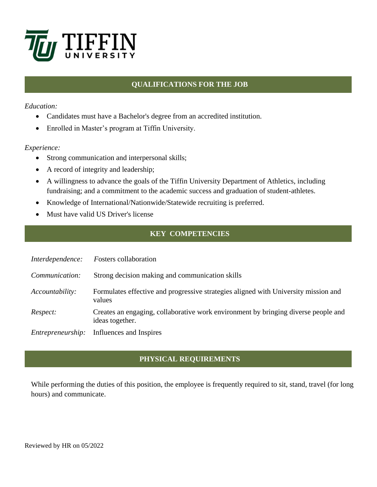

# **QUALIFICATIONS FOR THE JOB**

#### *Education:*

- Candidates must have a Bachelor's degree from an accredited institution.
- Enrolled in Master's program at Tiffin University.

### *Experience:*

- Strong communication and interpersonal skills;
- A record of integrity and leadership;
- A willingness to advance the goals of the Tiffin University Department of Athletics, including fundraising; and a commitment to the academic success and graduation of student-athletes.
- Knowledge of International/Nationwide/Statewide recruiting is preferred.
- Must have valid US Driver's license

# **KEY COMPETENCIES**

| Interdependence:  | <b>Fosters</b> collaboration                                                                          |
|-------------------|-------------------------------------------------------------------------------------------------------|
| Communication:    | Strong decision making and communication skills                                                       |
| Accountability:   | Formulates effective and progressive strategies aligned with University mission and<br>values         |
| Respect:          | Creates an engaging, collaborative work environment by bringing diverse people and<br>ideas together. |
| Entrepreneurship: | Influences and Inspires                                                                               |

# **PHYSICAL REQUIREMENTS**

While performing the duties of this position, the employee is frequently required to sit, stand, travel (for long hours) and communicate.